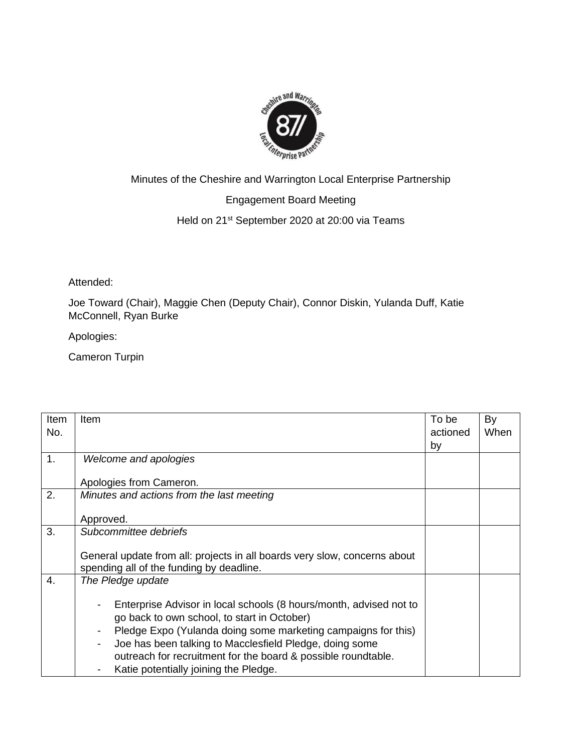

## Minutes of the Cheshire and Warrington Local Enterprise Partnership

## Engagement Board Meeting

## Held on 21<sup>st</sup> September 2020 at 20:00 via Teams

Attended:

Joe Toward (Chair), Maggie Chen (Deputy Chair), Connor Diskin, Yulanda Duff, Katie McConnell, Ryan Burke

Apologies:

Cameron Turpin

| Item | Item                                                                      | To be    | By   |
|------|---------------------------------------------------------------------------|----------|------|
| No.  |                                                                           | actioned | When |
|      |                                                                           | by       |      |
| 1.   | Welcome and apologies                                                     |          |      |
|      |                                                                           |          |      |
|      | Apologies from Cameron.                                                   |          |      |
| 2.   | Minutes and actions from the last meeting                                 |          |      |
|      |                                                                           |          |      |
|      | Approved.                                                                 |          |      |
| 3.   | Subcommittee debriefs                                                     |          |      |
|      |                                                                           |          |      |
|      | General update from all: projects in all boards very slow, concerns about |          |      |
|      | spending all of the funding by deadline.                                  |          |      |
| 4.   | The Pledge update                                                         |          |      |
|      |                                                                           |          |      |
|      | Enterprise Advisor in local schools (8 hours/month, advised not to        |          |      |
|      | go back to own school, to start in October)                               |          |      |
|      | Pledge Expo (Yulanda doing some marketing campaigns for this)             |          |      |
|      | Joe has been talking to Macclesfield Pledge, doing some                   |          |      |
|      | outreach for recruitment for the board & possible roundtable.             |          |      |
|      | Katie potentially joining the Pledge.                                     |          |      |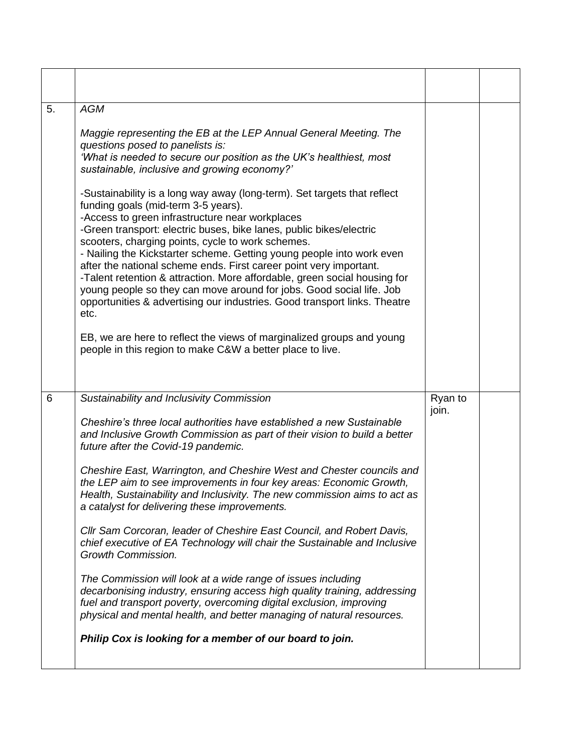| 5. | <b>AGM</b><br>Maggie representing the EB at the LEP Annual General Meeting. The<br>questions posed to panelists is:<br>'What is needed to secure our position as the UK's healthiest, most<br>sustainable, inclusive and growing economy?'<br>-Sustainability is a long way away (long-term). Set targets that reflect<br>funding goals (mid-term 3-5 years).<br>-Access to green infrastructure near workplaces<br>-Green transport: electric buses, bike lanes, public bikes/electric<br>scooters, charging points, cycle to work schemes.<br>- Nailing the Kickstarter scheme. Getting young people into work even<br>after the national scheme ends. First career point very important.<br>-Talent retention & attraction. More affordable, green social housing for<br>young people so they can move around for jobs. Good social life. Job<br>opportunities & advertising our industries. Good transport links. Theatre<br>etc.<br>EB, we are here to reflect the views of marginalized groups and young<br>people in this region to make C&W a better place to live. |                  |  |
|----|-----------------------------------------------------------------------------------------------------------------------------------------------------------------------------------------------------------------------------------------------------------------------------------------------------------------------------------------------------------------------------------------------------------------------------------------------------------------------------------------------------------------------------------------------------------------------------------------------------------------------------------------------------------------------------------------------------------------------------------------------------------------------------------------------------------------------------------------------------------------------------------------------------------------------------------------------------------------------------------------------------------------------------------------------------------------------------|------------------|--|
| 6  | Sustainability and Inclusivity Commission<br>Cheshire's three local authorities have established a new Sustainable<br>and Inclusive Growth Commission as part of their vision to build a better                                                                                                                                                                                                                                                                                                                                                                                                                                                                                                                                                                                                                                                                                                                                                                                                                                                                             | Ryan to<br>join. |  |
|    | future after the Covid-19 pandemic.<br>Cheshire East, Warrington, and Cheshire West and Chester councils and<br>the LEP aim to see improvements in four key areas: Economic Growth,<br>Health, Sustainability and Inclusivity. The new commission aims to act as<br>a catalyst for delivering these improvements.<br>Cllr Sam Corcoran, leader of Cheshire East Council, and Robert Davis,<br>chief executive of EA Technology will chair the Sustainable and Inclusive<br>Growth Commission.                                                                                                                                                                                                                                                                                                                                                                                                                                                                                                                                                                               |                  |  |
|    | The Commission will look at a wide range of issues including<br>decarbonising industry, ensuring access high quality training, addressing<br>fuel and transport poverty, overcoming digital exclusion, improving<br>physical and mental health, and better managing of natural resources.<br>Philip Cox is looking for a member of our board to join.                                                                                                                                                                                                                                                                                                                                                                                                                                                                                                                                                                                                                                                                                                                       |                  |  |